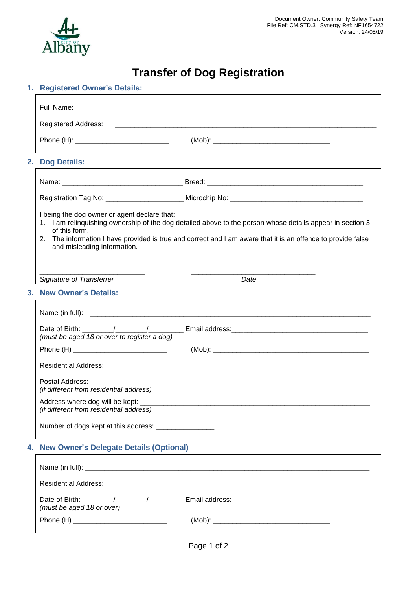

# **Transfer of Dog Registration**

# **1. Registered Owner's Details:**

|    | Full Name:<br><u> 1980 - Jan Barbara, martxar a shekara tsayin shekara ta 1980 haɗa ta 1980 haɗa ta 1980 haɗa ta 1980 haɗa ta 1</u>                                                                                                                                                                                          |  |  |
|----|------------------------------------------------------------------------------------------------------------------------------------------------------------------------------------------------------------------------------------------------------------------------------------------------------------------------------|--|--|
|    | <b>Registered Address:</b><br><u> 1988 - Johann John Stone, mension bernard bernard bernard bernard besteht der statistike besteht der statistik</u>                                                                                                                                                                         |  |  |
|    | ,我们也不会有什么。""我们的人,我们也不会有什么?""我们的人,我们也不会有什么?""我们的人,我们也不会有什么?""我们的人,我们也不会有什么?""我们的人                                                                                                                                                                                                                                             |  |  |
|    | 2. Dog Details:                                                                                                                                                                                                                                                                                                              |  |  |
|    | Name: ___________________________________Breed: _________________________________                                                                                                                                                                                                                                            |  |  |
|    |                                                                                                                                                                                                                                                                                                                              |  |  |
|    | I being the dog owner or agent declare that:<br>1. I am relinquishing ownership of the dog detailed above to the person whose details appear in section 3<br>of this form.<br>The information I have provided is true and correct and I am aware that it is an offence to provide false<br>2.<br>and misleading information. |  |  |
|    | <b>Signature of Transferrer</b><br>Date                                                                                                                                                                                                                                                                                      |  |  |
| 3. | <b>New Owner's Details:</b>                                                                                                                                                                                                                                                                                                  |  |  |
|    |                                                                                                                                                                                                                                                                                                                              |  |  |
|    | (must be aged 18 or over to register a dog)                                                                                                                                                                                                                                                                                  |  |  |
|    |                                                                                                                                                                                                                                                                                                                              |  |  |
|    |                                                                                                                                                                                                                                                                                                                              |  |  |
|    | (if different from residential address)                                                                                                                                                                                                                                                                                      |  |  |
|    | Address where dog will be kept: ___<br>(if different from residential address)                                                                                                                                                                                                                                               |  |  |
|    | Number of dogs kept at this address: _________________                                                                                                                                                                                                                                                                       |  |  |
| 4. | <b>New Owner's Delegate Details (Optional)</b>                                                                                                                                                                                                                                                                               |  |  |
|    |                                                                                                                                                                                                                                                                                                                              |  |  |
|    | <b>Residential Address:</b>                                                                                                                                                                                                                                                                                                  |  |  |
|    | (must be aged 18 or over)                                                                                                                                                                                                                                                                                                    |  |  |
|    |                                                                                                                                                                                                                                                                                                                              |  |  |